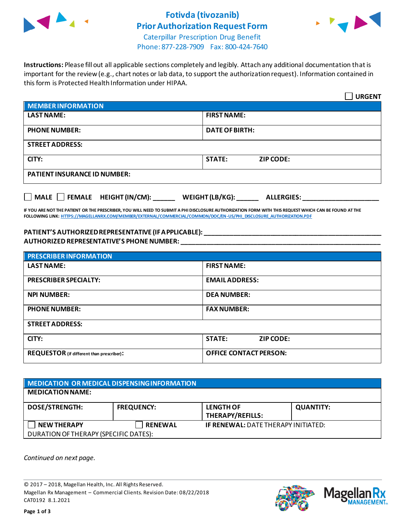

# **Fotivda (tivozanib) Prior Authorization Request Form**



Caterpillar Prescription Drug Benefit Phone: 877-228-7909 Fax: 800-424-7640

**Instructions:** Please fill out all applicable sections completely and legibly. Attach any additional documentation that is important for the review (e.g., chart notes or lab data, to support the authorization request). Information contained in this form is Protected Health Information under HIPAA.

|                                                                                   | <b>URGENT</b>                     |  |  |  |
|-----------------------------------------------------------------------------------|-----------------------------------|--|--|--|
| <b>MEMBER INFORMATION</b>                                                         |                                   |  |  |  |
| <b>LAST NAME:</b>                                                                 | <b>FIRST NAME:</b>                |  |  |  |
| <b>PHONE NUMBER:</b>                                                              | <b>DATE OF BIRTH:</b>             |  |  |  |
| <b>STREET ADDRESS:</b>                                                            |                                   |  |  |  |
| CITY:                                                                             | <b>STATE:</b><br><b>ZIP CODE:</b> |  |  |  |
| <b>PATIENT INSURANCE ID NUMBER:</b>                                               |                                   |  |  |  |
| $\Box$ MALE $\Box$ FEMALE HEIGHT (IN/CM):<br>WEIGHT (LB/KG):<br><b>ALLERGIES:</b> |                                   |  |  |  |

**IF YOU ARE NOT THE PATIENT OR THE PRESCRIBER, YOU WILL NEED TO SUBMIT A PHI DISCLOSURE AUTHORIZATION FORM WITH THIS REQUEST WHICH CAN BE FOUND AT THE FOLLOWING LINK[: HTTPS://MAGELLANRX.COM/MEMBER/EXTERNAL/COMMERCIAL/COMMON/DOC/EN-US/PHI\\_DISCLOSURE\\_AUTHORIZATION.PDF](https://magellanrx.com/member/external/commercial/common/doc/en-us/PHI_Disclosure_Authorization.pdf)**

### **PATIENT'S AUTHORIZED REPRESENTATIVE (IF APPLICABLE): \_\_\_\_\_\_\_\_\_\_\_\_\_\_\_\_\_\_\_\_\_\_\_\_\_\_\_\_\_\_\_\_\_\_\_\_\_\_\_\_\_\_\_\_\_\_\_\_\_ AUTHORIZED REPRESENTATIVE'S PHONE NUMBER: \_\_\_\_\_\_\_\_\_\_\_\_\_\_\_\_\_\_\_\_\_\_\_\_\_\_\_\_\_\_\_\_\_\_\_\_\_\_\_\_\_\_\_\_\_\_\_\_\_\_\_\_\_\_\_**

| <b>PRESCRIBER INFORMATION</b>             |                                   |  |  |
|-------------------------------------------|-----------------------------------|--|--|
| <b>LAST NAME:</b>                         | <b>FIRST NAME:</b>                |  |  |
| <b>PRESCRIBER SPECIALTY:</b>              | <b>EMAIL ADDRESS:</b>             |  |  |
| <b>NPI NUMBER:</b>                        | <b>DEA NUMBER:</b>                |  |  |
| <b>PHONE NUMBER:</b>                      | <b>FAX NUMBER:</b>                |  |  |
| <b>STREET ADDRESS:</b>                    |                                   |  |  |
| CITY:                                     | <b>STATE:</b><br><b>ZIP CODE:</b> |  |  |
| REQUESTOR (if different than prescriber): | <b>OFFICE CONTACT PERSON:</b>     |  |  |

| MEDICATION OR MEDICAL DISPENSING INFORMATION |                   |                                            |                  |  |  |
|----------------------------------------------|-------------------|--------------------------------------------|------------------|--|--|
| <b>MEDICATION NAME:</b>                      |                   |                                            |                  |  |  |
| <b>DOSE/STRENGTH:</b>                        | <b>FREQUENCY:</b> | <b>LENGTH OF</b><br>THERAPY/REFILLS:       | <b>QUANTITY:</b> |  |  |
| <b>NEW THERAPY</b>                           | <b>RENEWAL</b>    | <b>IF RENEWAL: DATE THERAPY INITIATED:</b> |                  |  |  |
| DURATION OF THERAPY (SPECIFIC DATES):        |                   |                                            |                  |  |  |

*Continued on next page.*

© 2017 – 2018, Magellan Health, Inc. All Rights Reserved. Magellan Rx Management – Commercial Clients. Revision Date: 08/22/2018 CAT0192 8.1.2021



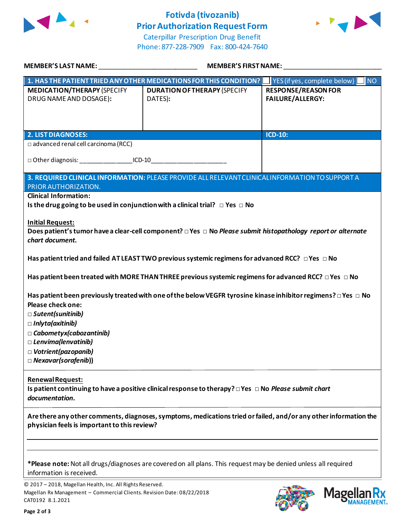

# **Fotivda (tivozanib) Prior Authorization Request Form**



Caterpillar Prescription Drug Benefit Phone: 877-228-7909 Fax: 800-424-7640

| MEMBER'S LAST NAME:                                                                                                                                                                                                                                                                                                              | <b>MEMBER'S FIRST NAME:</b>                                                                                     |                                                       |  |  |
|----------------------------------------------------------------------------------------------------------------------------------------------------------------------------------------------------------------------------------------------------------------------------------------------------------------------------------|-----------------------------------------------------------------------------------------------------------------|-------------------------------------------------------|--|--|
|                                                                                                                                                                                                                                                                                                                                  | 1. HAS THE PATIENT TRIED ANY OTHER MEDICATIONS FOR THIS CONDITION?                                              | YES (if yes, complete below)<br>NO                    |  |  |
| <b>MEDICATION/THERAPY (SPECIFY</b><br>DRUG NAME AND DOSAGE):                                                                                                                                                                                                                                                                     | <b>DURATION OF THERAPY (SPECIFY</b><br>DATES):                                                                  | <b>RESPONSE/REASON FOR</b><br><b>FAILURE/ALLERGY:</b> |  |  |
|                                                                                                                                                                                                                                                                                                                                  |                                                                                                                 | <b>ICD-10:</b>                                        |  |  |
| <b>2. LIST DIAGNOSES:</b><br>□ advanced renal cell carcinoma (RCC)                                                                                                                                                                                                                                                               |                                                                                                                 |                                                       |  |  |
| □ Other diagnosis: ____________________ICD-10__________________________________                                                                                                                                                                                                                                                  |                                                                                                                 |                                                       |  |  |
| PRIOR AUTHORIZATION.                                                                                                                                                                                                                                                                                                             | 3. REQUIRED CLINICAL INFORMATION: PLEASE PROVIDE ALL RELEVANT CLINICAL INFORMATION TO SUPPORT A                 |                                                       |  |  |
| <b>Clinical Information:</b>                                                                                                                                                                                                                                                                                                     |                                                                                                                 |                                                       |  |  |
| Is the drug going to be used in conjunction with a clinical trial? $\Box$ Yes $\Box$ No                                                                                                                                                                                                                                          |                                                                                                                 |                                                       |  |  |
| <b>Initial Request:</b><br>Does patient's tumor have a clear-cell component? □ Yes □ No Please submit histopathology report or alternate<br>chart document.                                                                                                                                                                      |                                                                                                                 |                                                       |  |  |
|                                                                                                                                                                                                                                                                                                                                  | Has patient tried and failed AT LEAST TWO previous systemic regimens for advanced RCC? $\Box$ Yes $\Box$ No     |                                                       |  |  |
|                                                                                                                                                                                                                                                                                                                                  | Has patient been treated with MORE THAN THREE previous systemic regimens for advanced RCC? $\Box$ Yes $\Box$ No |                                                       |  |  |
| Has patient been previously treated with one of the below VEGFR tyrosine kinase inhibitor regimens? $\Box$ Yes $\Box$ No<br>Please check one:<br>$\Box$ Sutent(sunitinib)<br>$\Box$ Inlyta(axitinib)<br>$\Box$ Cabometyx(cabozantinib)<br>$\Box$ Lenvima(lenvatinib)<br>$\Box$ Votrient(pazopanib)<br>$\Box$ Nexavar(sorafenib)) |                                                                                                                 |                                                       |  |  |
| <b>Renewal Request:</b><br>Is patient continuing to have a positive clinical response to therapy? $\Box$ Yes $\Box$ No Please submit chart<br>documentation.                                                                                                                                                                     |                                                                                                                 |                                                       |  |  |
| Are there any other comments, diagnoses, symptoms, medications tried or failed, and/or any other information the<br>physician feels is important to this review?                                                                                                                                                                 |                                                                                                                 |                                                       |  |  |
|                                                                                                                                                                                                                                                                                                                                  |                                                                                                                 |                                                       |  |  |
| information is received.                                                                                                                                                                                                                                                                                                         | *Please note: Not all drugs/diagnoses are covered on all plans. This request may be denied unless all required  |                                                       |  |  |

© 2017 – 2018, Magellan Health, Inc. All Rights Reserved. Magellan Rx Management – Commercial Clients. Revision Date: 08/22/2018 CAT0192 8.1.2021